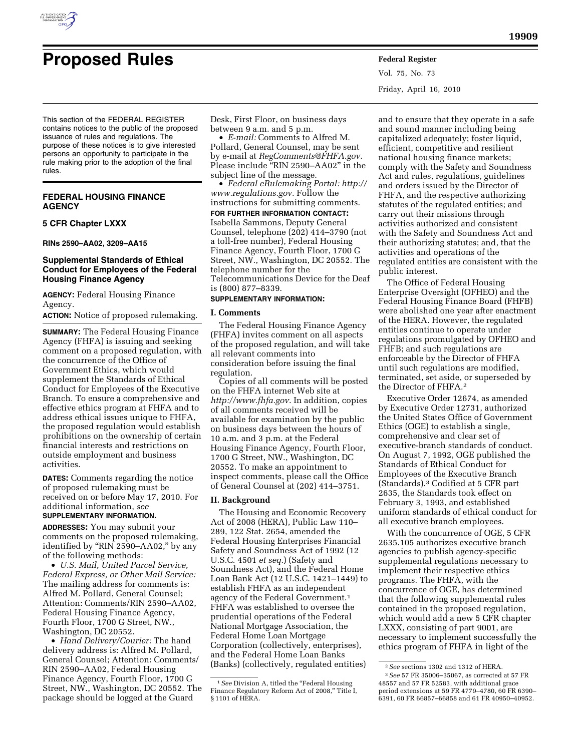

Vol. 75, No. 73 Friday, April 16, 2010

This section of the FEDERAL REGISTER contains notices to the public of the proposed issuance of rules and regulations. The purpose of these notices is to give interested persons an opportunity to participate in the rule making prior to the adoption of the final rules.

# **FEDERAL HOUSING FINANCE AGENCY**

# **5 CFR Chapter LXXX**

**RINs 2590–AA02, 3209–AA15** 

# **Supplemental Standards of Ethical Conduct for Employees of the Federal Housing Finance Agency**

**AGENCY:** Federal Housing Finance Agency.

**ACTION:** Notice of proposed rulemaking.

**SUMMARY:** The Federal Housing Finance Agency (FHFA) is issuing and seeking comment on a proposed regulation, with the concurrence of the Office of Government Ethics, which would supplement the Standards of Ethical Conduct for Employees of the Executive Branch. To ensure a comprehensive and effective ethics program at FHFA and to address ethical issues unique to FHFA, the proposed regulation would establish prohibitions on the ownership of certain financial interests and restrictions on outside employment and business activities.

**DATES:** Comments regarding the notice of proposed rulemaking must be received on or before May 17, 2010. For additional information, *see*  **SUPPLEMENTARY INFORMATION.** 

## **ADDRESSES:** You may submit your comments on the proposed rulemaking, identified by "RIN 2590-AA02," by any of the following methods:

• *U.S. Mail, United Parcel Service, Federal Express, or Other Mail Service:*  The mailing address for comments is: Alfred M. Pollard, General Counsel; Attention: Comments/RIN 2590–AA02, Federal Housing Finance Agency, Fourth Floor, 1700 G Street, NW., Washington, DC 20552.

• *Hand Delivery/Courier:* The hand delivery address is: Alfred M. Pollard, General Counsel; Attention: Comments/ RIN 2590–AA02, Federal Housing Finance Agency, Fourth Floor, 1700 G Street, NW., Washington, DC 20552. The package should be logged at the Guard

Desk, First Floor, on business days between 9 a.m. and 5 p.m.

• *E-mail:* Comments to Alfred M. Pollard, General Counsel, may be sent by e-mail at *RegComments@FHFA.gov*. Please include "RIN 2590-AA02" in the subject line of the message.

• *Federal eRulemaking Portal: http:// www.regulations.gov*. Follow the instructions for submitting comments.

**FOR FURTHER INFORMATION CONTACT:**  Isabella Sammons, Deputy General Counsel, telephone (202) 414–3790 (not a toll-free number), Federal Housing Finance Agency, Fourth Floor, 1700 G Street, NW., Washington, DC 20552. The telephone number for the Telecommunications Device for the Deaf is (800) 877–8339.

# **SUPPLEMENTARY INFORMATION:**

## **I. Comments**

The Federal Housing Finance Agency (FHFA) invites comment on all aspects of the proposed regulation, and will take all relevant comments into consideration before issuing the final regulation.

Copies of all comments will be posted on the FHFA internet Web site at *http://www.fhfa.gov*. In addition, copies of all comments received will be available for examination by the public on business days between the hours of 10 a.m. and 3 p.m. at the Federal Housing Finance Agency, Fourth Floor, 1700 G Street, NW., Washington, DC 20552. To make an appointment to inspect comments, please call the Office of General Counsel at (202) 414–3751.

# **II. Background**

The Housing and Economic Recovery Act of 2008 (HERA), Public Law 110– 289, 122 Stat. 2654, amended the Federal Housing Enterprises Financial Safety and Soundness Act of 1992 (12 U.S.C. 4501 *et seq.*) (Safety and Soundness Act), and the Federal Home Loan Bank Act (12 U.S.C. 1421–1449) to establish FHFA as an independent agency of the Federal Government.1 FHFA was established to oversee the prudential operations of the Federal National Mortgage Association, the Federal Home Loan Mortgage Corporation (collectively, enterprises), and the Federal Home Loan Banks (Banks) (collectively, regulated entities)

and to ensure that they operate in a safe and sound manner including being capitalized adequately; foster liquid, efficient, competitive and resilient national housing finance markets; comply with the Safety and Soundness Act and rules, regulations, guidelines and orders issued by the Director of FHFA, and the respective authorizing statutes of the regulated entities; and carry out their missions through activities authorized and consistent with the Safety and Soundness Act and their authorizing statutes; and, that the activities and operations of the regulated entities are consistent with the public interest.

The Office of Federal Housing Enterprise Oversight (OFHEO) and the Federal Housing Finance Board (FHFB) were abolished one year after enactment of the HERA. However, the regulated entities continue to operate under regulations promulgated by OFHEO and FHFB; and such regulations are enforceable by the Director of FHFA until such regulations are modified, terminated, set aside, or superseded by the Director of FHFA.2

Executive Order 12674, as amended by Executive Order 12731, authorized the United States Office of Government Ethics (OGE) to establish a single, comprehensive and clear set of executive-branch standards of conduct. On August 7, 1992, OGE published the Standards of Ethical Conduct for Employees of the Executive Branch (Standards).3 Codified at 5 CFR part 2635, the Standards took effect on February 3, 1993, and established uniform standards of ethical conduct for all executive branch employees.

With the concurrence of OGE, 5 CFR 2635.105 authorizes executive branch agencies to publish agency-specific supplemental regulations necessary to implement their respective ethics programs. The FHFA, with the concurrence of OGE, has determined that the following supplemental rules contained in the proposed regulation, which would add a new 5 CFR chapter LXXX, consisting of part 9001, are necessary to implement successfully the ethics program of FHFA in light of the

<sup>&</sup>lt;sup>1</sup> See Division A, titled the "Federal Housing Finance Regulatory Reform Act of 2008,'' Title I, § 1101 of HERA.

<sup>2</sup>*See* sections 1302 and 1312 of HERA.

<sup>3</sup>*See* 57 FR 35006–35067, as corrected at 57 FR 48557 and 57 FR 52583, with additional grace period extensions at 59 FR 4779–4780, 60 FR 6390– 6391, 60 FR 66857–66858 and 61 FR 40950–40952.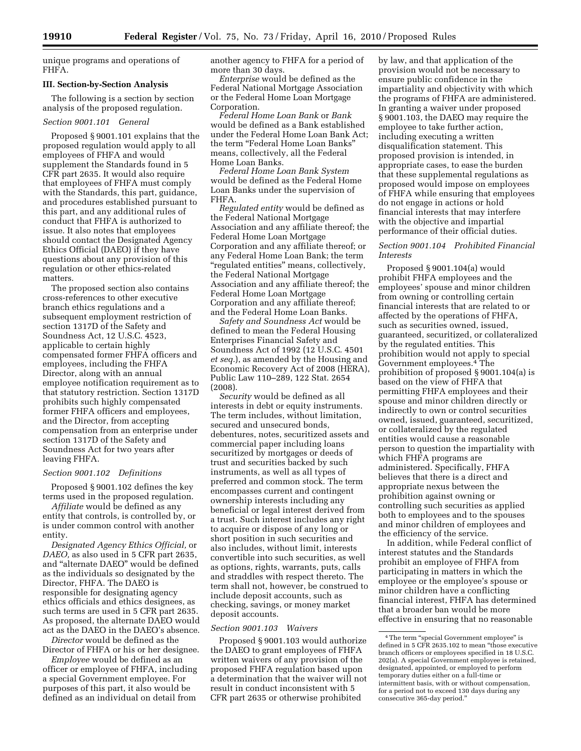unique programs and operations of FHFA.

#### **III. Section-by-Section Analysis**

The following is a section by section analysis of the proposed regulation.

### *Section 9001.101 General*

Proposed § 9001.101 explains that the proposed regulation would apply to all employees of FHFA and would supplement the Standards found in 5 CFR part 2635. It would also require that employees of FHFA must comply with the Standards, this part, guidance, and procedures established pursuant to this part, and any additional rules of conduct that FHFA is authorized to issue. It also notes that employees should contact the Designated Agency Ethics Official (DAEO) if they have questions about any provision of this regulation or other ethics-related matters.

The proposed section also contains cross-references to other executive branch ethics regulations and a subsequent employment restriction of section 1317D of the Safety and Soundness Act, 12 U.S.C. 4523, applicable to certain highly compensated former FHFA officers and employees, including the FHFA Director, along with an annual employee notification requirement as to that statutory restriction. Section 1317D prohibits such highly compensated former FHFA officers and employees, and the Director, from accepting compensation from an enterprise under section 1317D of the Safety and Soundness Act for two years after leaving FHFA.

#### *Section 9001.102 Definitions*

Proposed § 9001.102 defines the key terms used in the proposed regulation.

*Affiliate* would be defined as any entity that controls, is controlled by, or is under common control with another entity.

*Designated Agency Ethics Official,* or *DAEO,* as also used in 5 CFR part 2635, and ''alternate DAEO'' would be defined as the individuals so designated by the Director, FHFA. The DAEO is responsible for designating agency ethics officials and ethics designees, as such terms are used in 5 CFR part 2635. As proposed, the alternate DAEO would act as the DAEO in the DAEO's absence.

*Director* would be defined as the Director of FHFA or his or her designee.

*Employee* would be defined as an officer or employee of FHFA, including a special Government employee. For purposes of this part, it also would be defined as an individual on detail from

another agency to FHFA for a period of more than 30 days.

*Enterprise* would be defined as the Federal National Mortgage Association or the Federal Home Loan Mortgage Corporation.

*Federal Home Loan Bank* or *Bank*  would be defined as a Bank established under the Federal Home Loan Bank Act; the term "Federal Home Loan Banks" means, collectively, all the Federal Home Loan Banks.

*Federal Home Loan Bank System*  would be defined as the Federal Home Loan Banks under the supervision of FHFA.

*Regulated entity* would be defined as the Federal National Mortgage Association and any affiliate thereof; the Federal Home Loan Mortgage Corporation and any affiliate thereof; or any Federal Home Loan Bank; the term "regulated entities" means, collectively, the Federal National Mortgage Association and any affiliate thereof; the Federal Home Loan Mortgage Corporation and any affiliate thereof; and the Federal Home Loan Banks.

*Safety and Soundness Act* would be defined to mean the Federal Housing Enterprises Financial Safety and Soundness Act of 1992 (12 U.S.C. 4501 *et seq.*), as amended by the Housing and Economic Recovery Act of 2008 (HERA), Public Law 110–289, 122 Stat. 2654 (2008).

*Security* would be defined as all interests in debt or equity instruments. The term includes, without limitation, secured and unsecured bonds, debentures, notes, securitized assets and commercial paper including loans securitized by mortgages or deeds of trust and securities backed by such instruments, as well as all types of preferred and common stock. The term encompasses current and contingent ownership interests including any beneficial or legal interest derived from a trust. Such interest includes any right to acquire or dispose of any long or short position in such securities and also includes, without limit, interests convertible into such securities, as well as options, rights, warrants, puts, calls and straddles with respect thereto. The term shall not, however, be construed to include deposit accounts, such as checking, savings, or money market deposit accounts.

# *Section 9001.103 Waivers*

Proposed § 9001.103 would authorize the DAEO to grant employees of FHFA written waivers of any provision of the proposed FHFA regulation based upon a determination that the waiver will not result in conduct inconsistent with 5 CFR part 2635 or otherwise prohibited

by law, and that application of the provision would not be necessary to ensure public confidence in the impartiality and objectivity with which the programs of FHFA are administered. In granting a waiver under proposed § 9001.103, the DAEO may require the employee to take further action, including executing a written disqualification statement. This proposed provision is intended, in appropriate cases, to ease the burden that these supplemental regulations as proposed would impose on employees of FHFA while ensuring that employees do not engage in actions or hold financial interests that may interfere with the objective and impartial performance of their official duties.

# *Section 9001.104 Prohibited Financial Interests*

Proposed § 9001.104(a) would prohibit FHFA employees and the employees' spouse and minor children from owning or controlling certain financial interests that are related to or affected by the operations of FHFA, such as securities owned, issued, guaranteed, securitized, or collateralized by the regulated entities. This prohibition would not apply to special Government employees.4 The prohibition of proposed § 9001.104(a) is based on the view of FHFA that permitting FHFA employees and their spouse and minor children directly or indirectly to own or control securities owned, issued, guaranteed, securitized, or collateralized by the regulated entities would cause a reasonable person to question the impartiality with which FHFA programs are administered. Specifically, FHFA believes that there is a direct and appropriate nexus between the prohibition against owning or controlling such securities as applied both to employees and to the spouses and minor children of employees and the efficiency of the service.

In addition, while Federal conflict of interest statutes and the Standards prohibit an employee of FHFA from participating in matters in which the employee or the employee's spouse or minor children have a conflicting financial interest, FHFA has determined that a broader ban would be more effective in ensuring that no reasonable

<sup>&</sup>lt;sup>4</sup>The term "special Government employee" is defined in 5 CFR 2635.102 to mean ''those executive branch officers or employees specified in 18 U.S.C. 202(a). A special Government employee is retained, designated, appointed, or employed to perform temporary duties either on a full-time or intermittent basis, with or without compensation, for a period not to exceed 130 days during any consecutive 365-day period.''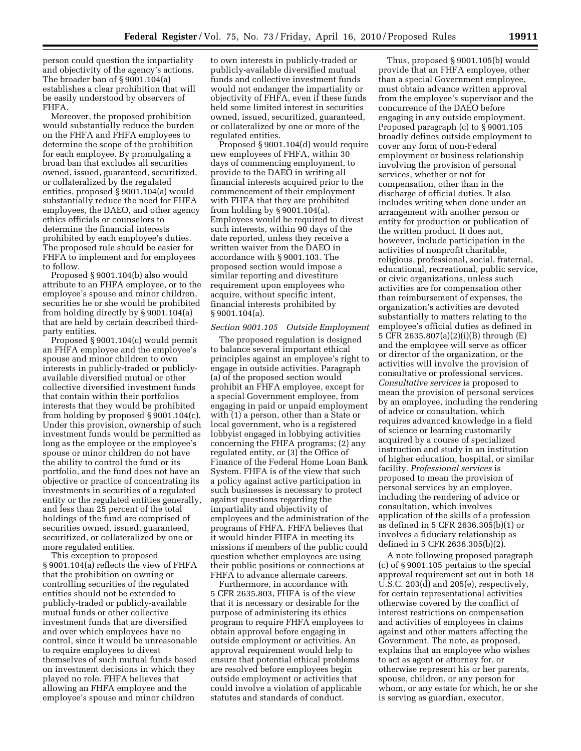person could question the impartiality and objectivity of the agency's actions. The broader ban of § 9001.104(a) establishes a clear prohibition that will be easily understood by observers of FHFA.

Moreover, the proposed prohibition would substantially reduce the burden on the FHFA and FHFA employees to determine the scope of the prohibition for each employee. By promulgating a broad ban that excludes all securities owned, issued, guaranteed, securitized, or collateralized by the regulated entities, proposed § 9001.104(a) would substantially reduce the need for FHFA employees, the DAEO, and other agency ethics officials or counselors to determine the financial interests prohibited by each employee's duties. The proposed rule should be easier for FHFA to implement and for employees to follow.

Proposed § 9001.104(b) also would attribute to an FHFA employee, or to the employee's spouse and minor children, securities he or she would be prohibited from holding directly by § 9001.104(a) that are held by certain described thirdparty entities.

Proposed § 9001.104(c) would permit an FHFA employee and the employee's spouse and minor children to own interests in publicly-traded or publiclyavailable diversified mutual or other collective diversified investment funds that contain within their portfolios interests that they would be prohibited from holding by proposed § 9001.104(c). Under this provision, ownership of such investment funds would be permitted as long as the employee or the employee's spouse or minor children do not have the ability to control the fund or its portfolio, and the fund does not have an objective or practice of concentrating its investments in securities of a regulated entity or the regulated entities generally, and less than 25 percent of the total holdings of the fund are comprised of securities owned, issued, guaranteed, securitized, or collateralized by one or more regulated entities.

This exception to proposed § 9001.104(a) reflects the view of FHFA that the prohibition on owning or controlling securities of the regulated entities should not be extended to publicly-traded or publicly-available mutual funds or other collective investment funds that are diversified and over which employees have no control, since it would be unreasonable to require employees to divest themselves of such mutual funds based on investment decisions in which they played no role. FHFA believes that allowing an FHFA employee and the employee's spouse and minor children

to own interests in publicly-traded or publicly-available diversified mutual funds and collective investment funds would not endanger the impartiality or objectivity of FHFA, even if these funds held some limited interest in securities owned, issued, securitized, guaranteed, or collateralized by one or more of the regulated entities.

Proposed § 9001.104(d) would require new employees of FHFA, within 30 days of commencing employment, to provide to the DAEO in writing all financial interests acquired prior to the commencement of their employment with FHFA that they are prohibited from holding by § 9001.104(a). Employees would be required to divest such interests, within 90 days of the date reported, unless they receive a written waiver from the DAEO in accordance with § 9001.103. The proposed section would impose a similar reporting and divestiture requirement upon employees who acquire, without specific intent, financial interests prohibited by § 9001.104(a).

### *Section 9001.105 Outside Employment*

The proposed regulation is designed to balance several important ethical principles against an employee's right to engage in outside activities. Paragraph (a) of the proposed section would prohibit an FHFA employee, except for a special Government employee, from engaging in paid or unpaid employment with (1) a person, other than a State or local government, who is a registered lobbyist engaged in lobbying activities concerning the FHFA programs; (2) any regulated entity, or (3) the Office of Finance of the Federal Home Loan Bank System. FHFA is of the view that such a policy against active participation in such businesses is necessary to protect against questions regarding the impartiality and objectivity of employees and the administration of the programs of FHFA. FHFA believes that it would hinder FHFA in meeting its missions if members of the public could question whether employees are using their public positions or connections at FHFA to advance alternate careers.

Furthermore, in accordance with 5 CFR 2635.803, FHFA is of the view that it is necessary or desirable for the purpose of administering its ethics program to require FHFA employees to obtain approval before engaging in outside employment or activities. An approval requirement would help to ensure that potential ethical problems are resolved before employees begin outside employment or activities that could involve a violation of applicable statutes and standards of conduct.

Thus, proposed § 9001.105(b) would provide that an FHFA employee, other than a special Government employee, must obtain advance written approval from the employee's supervisor and the concurrence of the DAEO before engaging in any outside employment. Proposed paragraph (c) to § 9001.105 broadly defines outside employment to cover any form of non-Federal employment or business relationship involving the provision of personal services, whether or not for compensation, other than in the discharge of official duties. It also includes writing when done under an arrangement with another person or entity for production or publication of the written product. It does not, however, include participation in the activities of nonprofit charitable, religious, professional, social, fraternal, educational, recreational, public service, or civic organizations, unless such activities are for compensation other than reimbursement of expenses, the organization's activities are devoted substantially to matters relating to the employee's official duties as defined in 5 CFR 2635.807(a)(2)(i)(B) through (E) and the employee will serve as officer or director of the organization, or the activities will involve the provision of consultative or professional services. *Consultative services* is proposed to mean the provision of personal services by an employee, including the rendering of advice or consultation, which requires advanced knowledge in a field of science or learning customarily acquired by a course of specialized instruction and study in an institution of higher education, hospital, or similar facility. *Professional services* is proposed to mean the provision of personal services by an employee, including the rendering of advice or consultation, which involves application of the skills of a profession as defined in 5 CFR 2636.305(b)(1) or involves a fiduciary relationship as defined in 5 CFR 2636.305(b)(2).

A note following proposed paragraph (c) of § 9001.105 pertains to the special approval requirement set out in both 18 U.S.C. 203(d) and 205(e), respectively, for certain representational activities otherwise covered by the conflict of interest restrictions on compensation and activities of employees in claims against and other matters affecting the Government. The note, as proposed, explains that an employee who wishes to act as agent or attorney for, or otherwise represent his or her parents, spouse, children, or any person for whom, or any estate for which, he or she is serving as guardian, executor,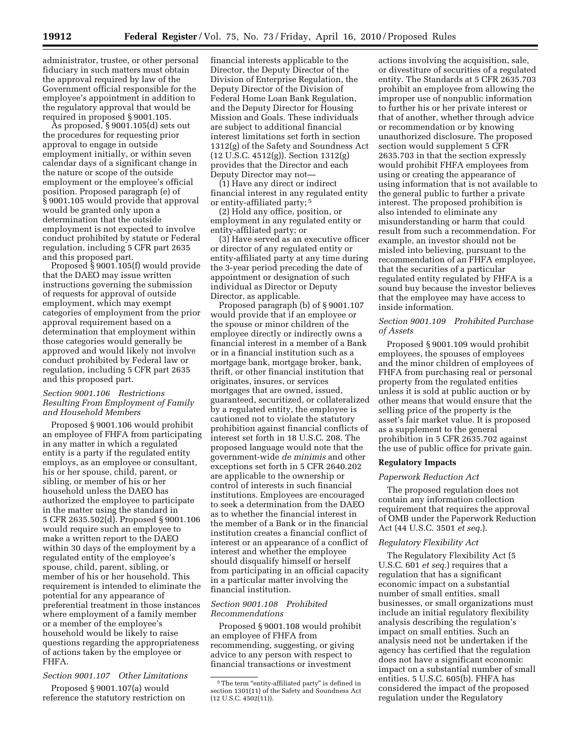administrator, trustee, or other personal fiduciary in such matters must obtain the approval required by law of the Government official responsible for the employee's appointment in addition to the regulatory approval that would be required in proposed § 9001.105.

As proposed, § 9001.105(d) sets out the procedures for requesting prior approval to engage in outside employment initially, or within seven calendar days of a significant change in the nature or scope of the outside employment or the employee's official position. Proposed paragraph (e) of § 9001.105 would provide that approval would be granted only upon a determination that the outside employment is not expected to involve conduct prohibited by statute or Federal regulation, including 5 CFR part 2635 and this proposed part.

Proposed § 9001.105(f) would provide that the DAEO may issue written instructions governing the submission of requests for approval of outside employment, which may exempt categories of employment from the prior approval requirement based on a determination that employment within those categories would generally be approved and would likely not involve conduct prohibited by Federal law or regulation, including 5 CFR part 2635 and this proposed part.

# *Section 9001.106 Restrictions Resulting From Employment of Family and Household Members*

Proposed § 9001.106 would prohibit an employee of FHFA from participating in any matter in which a regulated entity is a party if the regulated entity employs, as an employee or consultant, his or her spouse, child, parent, or sibling, or member of his or her household unless the DAEO has authorized the employee to participate in the matter using the standard in 5 CFR 2635.502(d). Proposed § 9001.106 would require such an employee to make a written report to the DAEO within 30 days of the employment by a regulated entity of the employee's spouse, child, parent, sibling, or member of his or her household. This requirement is intended to eliminate the potential for any appearance of preferential treatment in those instances where employment of a family member or a member of the employee's household would be likely to raise questions regarding the appropriateness of actions taken by the employee or FHFA.

*Section 9001.107 Other Limitations* 

Proposed § 9001.107(a) would reference the statutory restriction on

financial interests applicable to the Director, the Deputy Director of the Division of Enterprise Regulation, the Deputy Director of the Division of Federal Home Loan Bank Regulation, and the Deputy Director for Housing Mission and Goals. These individuals are subject to additional financial interest limitations set forth in section 1312(g) of the Safety and Soundness Act (12 U.S.C. 4512(g)). Section 1312(g) provides that the Director and each Deputy Director may not—

(1) Have any direct or indirect financial interest in any regulated entity or entity-affiliated party; 5

(2) Hold any office, position, or employment in any regulated entity or entity-affiliated party; or

(3) Have served as an executive officer or director of any regulated entity or entity-affiliated party at any time during the 3-year period preceding the date of appointment or designation of such individual as Director or Deputy Director, as applicable.

Proposed paragraph (b) of § 9001.107 would provide that if an employee or the spouse or minor children of the employee directly or indirectly owns a financial interest in a member of a Bank or in a financial institution such as a mortgage bank, mortgage broker, bank, thrift, or other financial institution that originates, insures, or services mortgages that are owned, issued, guaranteed, securitized, or collateralized by a regulated entity, the employee is cautioned not to violate the statutory prohibition against financial conflicts of interest set forth in 18 U.S.C. 208. The proposed language would note that the government-wide *de minimis* and other exceptions set forth in 5 CFR 2640.202 are applicable to the ownership or control of interests in such financial institutions. Employees are encouraged to seek a determination from the DAEO as to whether the financial interest in the member of a Bank or in the financial institution creates a financial conflict of interest or an appearance of a conflict of interest and whether the employee should disqualify himself or herself from participating in an official capacity in a particular matter involving the financial institution.

# *Section 9001.108 Prohibited Recommendations*

Proposed § 9001.108 would prohibit an employee of FHFA from recommending, suggesting, or giving advice to any person with respect to financial transactions or investment

actions involving the acquisition, sale, or divestiture of securities of a regulated entity. The Standards at 5 CFR 2635.703 prohibit an employee from allowing the improper use of nonpublic information to further his or her private interest or that of another, whether through advice or recommendation or by knowing unauthorized disclosure. The proposed section would supplement 5 CFR 2635.703 in that the section expressly would prohibit FHFA employees from using or creating the appearance of using information that is not available to the general public to further a private interest. The proposed prohibition is also intended to eliminate any misunderstanding or harm that could result from such a recommendation. For example, an investor should not be misled into believing, pursuant to the recommendation of an FHFA employee, that the securities of a particular regulated entity regulated by FHFA is a sound buy because the investor believes that the employee may have access to inside information.

# *Section 9001.109 Prohibited Purchase of Assets*

Proposed § 9001.109 would prohibit employees, the spouses of employees and the minor children of employees of FHFA from purchasing real or personal property from the regulated entities unless it is sold at public auction or by other means that would ensure that the selling price of the property is the asset's fair market value. It is proposed as a supplement to the general prohibition in 5 CFR 2635.702 against the use of public office for private gain.

## **Regulatory Impacts**

## *Paperwork Reduction Act*

The proposed regulation does not contain any information collection requirement that requires the approval of OMB under the Paperwork Reduction Act (44 U.S.C. 3501 *et seq.*).

## *Regulatory Flexibility Act*

The Regulatory Flexibility Act (5 U.S.C. 601 *et seq.*) requires that a regulation that has a significant economic impact on a substantial number of small entities, small businesses, or small organizations must include an initial regulatory flexibility analysis describing the regulation's impact on small entities. Such an analysis need not be undertaken if the agency has certified that the regulation does not have a significant economic impact on a substantial number of small entities. 5 U.S.C. 605(b). FHFA has considered the impact of the proposed regulation under the Regulatory

<sup>&</sup>lt;sup>5</sup>The term "entity-affiliated party" is defined in section 1301(11) of the Safety and Soundness Act (12 U.S.C. 4502(11)).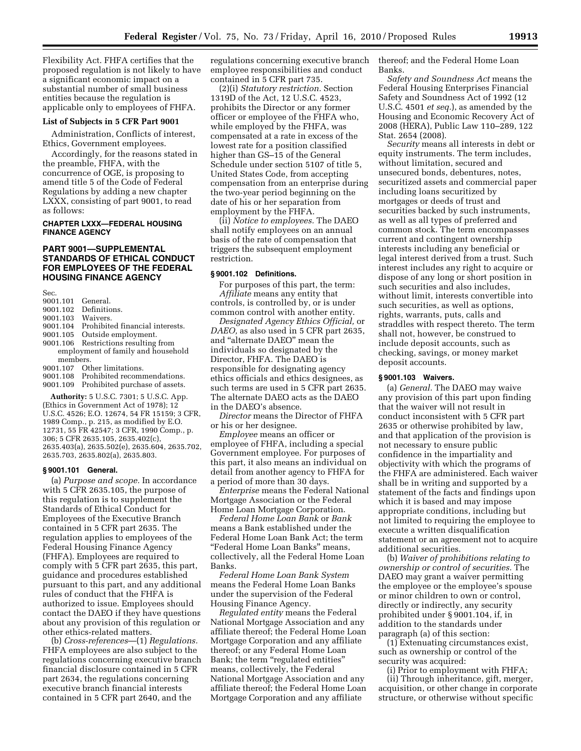Flexibility Act. FHFA certifies that the proposed regulation is not likely to have a significant economic impact on a substantial number of small business entities because the regulation is applicable only to employees of FHFA.

#### **List of Subjects in 5 CFR Part 9001**

Administration, Conflicts of interest, Ethics, Government employees.

Accordingly, for the reasons stated in the preamble, FHFA, with the concurrence of OGE, is proposing to amend title 5 of the Code of Federal Regulations by adding a new chapter LXXX, consisting of part 9001, to read as follows:

### **CHAPTER LXXX—FEDERAL HOUSING FINANCE AGENCY**

# **PART 9001—SUPPLEMENTAL STANDARDS OF ETHICAL CONDUCT FOR EMPLOYEES OF THE FEDERAL HOUSING FINANCE AGENCY**

Sec.

| General. |
|----------|
|          |

- 9001.102 Definitions.<br>9001.103 Waivers.
- 9001.103 Waivers.<br>9001.104 Prohibite
- 9001.104 Prohibited financial interests.<br>9001.105 Outside employment.
- Outside employment.
- 9001.106 Restrictions resulting from employment of family and household members.

9001.107 Other limitations.

#### 9001.108 Prohibited recommendations. 9001.109 Prohibited purchase of assets.

**Authority:** 5 U.S.C. 7301; 5 U.S.C. App. (Ethics in Government Act of 1978); 12 U.S.C. 4526; E.O. 12674, 54 FR 15159; 3 CFR, 1989 Comp., p. 215, as modified by E.O. 12731, 55 FR 42547; 3 CFR, 1990 Comp., p. 306; 5 CFR 2635.105, 2635.402(c), 2635.403(a), 2635.502(e), 2635.604, 2635.702, 2635.703, 2635.802(a), 2635.803.

## **§ 9001.101 General.**

(a) *Purpose and scope.* In accordance with 5 CFR 2635.105, the purpose of this regulation is to supplement the Standards of Ethical Conduct for Employees of the Executive Branch contained in 5 CFR part 2635. The regulation applies to employees of the Federal Housing Finance Agency (FHFA). Employees are required to comply with 5 CFR part 2635, this part, guidance and procedures established pursuant to this part, and any additional rules of conduct that the FHFA is authorized to issue. Employees should contact the DAEO if they have questions about any provision of this regulation or other ethics-related matters.

(b) *Cross-references*—(1) *Regulations.*  FHFA employees are also subject to the regulations concerning executive branch financial disclosure contained in 5 CFR part 2634, the regulations concerning executive branch financial interests contained in 5 CFR part 2640, and the

regulations concerning executive branch employee responsibilities and conduct contained in 5 CFR part 735.

(2)(i) *Statutory restriction.* Section 1319D of the Act, 12 U.S.C. 4523, prohibits the Director or any former officer or employee of the FHFA who, while employed by the FHFA, was compensated at a rate in excess of the lowest rate for a position classified higher than GS–15 of the General Schedule under section 5107 of title 5, United States Code, from accepting compensation from an enterprise during the two-year period beginning on the date of his or her separation from employment by the FHFA.

(ii) *Notice to employees.* The DAEO shall notify employees on an annual basis of the rate of compensation that triggers the subsequent employment restriction.

#### **§ 9001.102 Definitions.**

For purposes of this part, the term: *Affiliate* means any entity that controls, is controlled by, or is under common control with another entity.

*Designated Agency Ethics Official,* or *DAEO,* as also used in 5 CFR part 2635, and ''alternate DAEO'' mean the individuals so designated by the Director, FHFA. The DAEO is responsible for designating agency ethics officials and ethics designees, as such terms are used in 5 CFR part 2635. The alternate DAEO acts as the DAEO in the DAEO's absence.

*Director* means the Director of FHFA or his or her designee.

*Employee* means an officer or employee of FHFA, including a special Government employee. For purposes of this part, it also means an individual on detail from another agency to FHFA for a period of more than 30 days.

*Enterprise* means the Federal National Mortgage Association or the Federal Home Loan Mortgage Corporation.

*Federal Home Loan Bank* or *Bank*  means a Bank established under the Federal Home Loan Bank Act; the term "Federal Home Loan Banks" means, collectively, all the Federal Home Loan Banks.

*Federal Home Loan Bank System*  means the Federal Home Loan Banks under the supervision of the Federal Housing Finance Agency.

*Regulated entity* means the Federal National Mortgage Association and any affiliate thereof; the Federal Home Loan Mortgage Corporation and any affiliate thereof; or any Federal Home Loan Bank; the term "regulated entities" means, collectively, the Federal National Mortgage Association and any affiliate thereof; the Federal Home Loan Mortgage Corporation and any affiliate

thereof; and the Federal Home Loan Banks.

*Safety and Soundness Act* means the Federal Housing Enterprises Financial Safety and Soundness Act of 1992 (12 U.S.C. 4501 *et seq.*), as amended by the Housing and Economic Recovery Act of 2008 (HERA), Public Law 110–289, 122 Stat. 2654 (2008).

*Security* means all interests in debt or equity instruments. The term includes, without limitation, secured and unsecured bonds, debentures, notes, securitized assets and commercial paper including loans securitized by mortgages or deeds of trust and securities backed by such instruments, as well as all types of preferred and common stock. The term encompasses current and contingent ownership interests including any beneficial or legal interest derived from a trust. Such interest includes any right to acquire or dispose of any long or short position in such securities and also includes, without limit, interests convertible into such securities, as well as options, rights, warrants, puts, calls and straddles with respect thereto. The term shall not, however, be construed to include deposit accounts, such as checking, savings, or money market deposit accounts.

## **§ 9001.103 Waivers.**

(a) *General.* The DAEO may waive any provision of this part upon finding that the waiver will not result in conduct inconsistent with 5 CFR part 2635 or otherwise prohibited by law, and that application of the provision is not necessary to ensure public confidence in the impartiality and objectivity with which the programs of the FHFA are administered. Each waiver shall be in writing and supported by a statement of the facts and findings upon which it is based and may impose appropriate conditions, including but not limited to requiring the employee to execute a written disqualification statement or an agreement not to acquire additional securities.

(b) *Waiver of prohibitions relating to ownership or control of securities.* The DAEO may grant a waiver permitting the employee or the employee's spouse or minor children to own or control, directly or indirectly, any security prohibited under § 9001.104, if, in addition to the standards under paragraph (a) of this section:

(1) Extenuating circumstances exist, such as ownership or control of the security was acquired:

(i) Prior to employment with FHFA; (ii) Through inheritance, gift, merger, acquisition, or other change in corporate structure, or otherwise without specific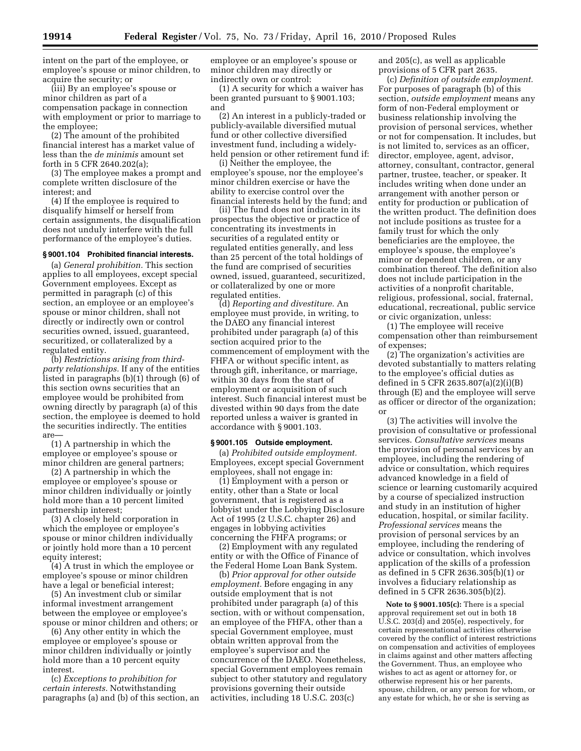intent on the part of the employee, or employee's spouse or minor children, to acquire the security; or

(iii) By an employee's spouse or minor children as part of a compensation package in connection with employment or prior to marriage to the employee;

(2) The amount of the prohibited financial interest has a market value of less than the *de minimis* amount set forth in 5 CFR 2640.202(a);

(3) The employee makes a prompt and complete written disclosure of the interest; and

(4) If the employee is required to disqualify himself or herself from certain assignments, the disqualification does not unduly interfere with the full performance of the employee's duties.

# **§ 9001.104 Prohibited financial interests.**

(a) *General prohibition.* This section applies to all employees, except special Government employees. Except as permitted in paragraph (c) of this section, an employee or an employee's spouse or minor children, shall not directly or indirectly own or control securities owned, issued, guaranteed, securitized, or collateralized by a regulated entity.

(b) *Restrictions arising from thirdparty relationships.* If any of the entities listed in paragraphs (b)(1) through (6) of this section owns securities that an employee would be prohibited from owning directly by paragraph (a) of this section, the employee is deemed to hold the securities indirectly. The entities are—

(1) A partnership in which the employee or employee's spouse or minor children are general partners;

(2) A partnership in which the employee or employee's spouse or minor children individually or jointly hold more than a 10 percent limited partnership interest;

(3) A closely held corporation in which the employee or employee's spouse or minor children individually or jointly hold more than a 10 percent equity interest;

(4) A trust in which the employee or employee's spouse or minor children have a legal or beneficial interest;

(5) An investment club or similar informal investment arrangement between the employee or employee's spouse or minor children and others; or

(6) Any other entity in which the employee or employee's spouse or minor children individually or jointly hold more than a 10 percent equity interest.

(c) *Exceptions to prohibition for certain interests.* Notwithstanding paragraphs (a) and (b) of this section, an employee or an employee's spouse or minor children may directly or indirectly own or control:

(1) A security for which a waiver has been granted pursuant to § 9001.103; and

(2) An interest in a publicly-traded or publicly-available diversified mutual fund or other collective diversified investment fund, including a widelyheld pension or other retirement fund if:

(i) Neither the employee, the employee's spouse, nor the employee's minor children exercise or have the ability to exercise control over the financial interests held by the fund; and

(ii) The fund does not indicate in its prospectus the objective or practice of concentrating its investments in securities of a regulated entity or regulated entities generally, and less than 25 percent of the total holdings of the fund are comprised of securities owned, issued, guaranteed, securitized, or collateralized by one or more regulated entities.

(d) *Reporting and divestiture.* An employee must provide, in writing, to the DAEO any financial interest prohibited under paragraph (a) of this section acquired prior to the commencement of employment with the FHFA or without specific intent, as through gift, inheritance, or marriage, within 30 days from the start of employment or acquisition of such interest. Such financial interest must be divested within 90 days from the date reported unless a waiver is granted in accordance with § 9001.103.

### **§ 9001.105 Outside employment.**

(a) *Prohibited outside employment.*  Employees, except special Government employees, shall not engage in:

(1) Employment with a person or entity, other than a State or local government, that is registered as a lobbyist under the Lobbying Disclosure Act of 1995 (2 U.S.C. chapter 26) and engages in lobbying activities concerning the FHFA programs; or

(2) Employment with any regulated entity or with the Office of Finance of the Federal Home Loan Bank System.

(b) *Prior approval for other outside employment.* Before engaging in any outside employment that is not prohibited under paragraph (a) of this section, with or without compensation, an employee of the FHFA, other than a special Government employee, must obtain written approval from the employee's supervisor and the concurrence of the DAEO. Nonetheless, special Government employees remain subject to other statutory and regulatory provisions governing their outside activities, including 18 U.S.C. 203(c)

and 205(c), as well as applicable provisions of 5 CFR part 2635.

(c) *Definition of outside employment.*  For purposes of paragraph (b) of this section, *outside employment* means any form of non-Federal employment or business relationship involving the provision of personal services, whether or not for compensation. It includes, but is not limited to, services as an officer, director, employee, agent, advisor, attorney, consultant, contractor, general partner, trustee, teacher, or speaker. It includes writing when done under an arrangement with another person or entity for production or publication of the written product. The definition does not include positions as trustee for a family trust for which the only beneficiaries are the employee, the employee's spouse, the employee's minor or dependent children, or any combination thereof. The definition also does not include participation in the activities of a nonprofit charitable, religious, professional, social, fraternal, educational, recreational, public service or civic organization, unless:

(1) The employee will receive compensation other than reimbursement of expenses;

(2) The organization's activities are devoted substantially to matters relating to the employee's official duties as defined in 5 CFR 2635.807(a)(2)(i)(B) through (E) and the employee will serve as officer or director of the organization; or

(3) The activities will involve the provision of consultative or professional services. *Consultative services* means the provision of personal services by an employee, including the rendering of advice or consultation, which requires advanced knowledge in a field of science or learning customarily acquired by a course of specialized instruction and study in an institution of higher education, hospital, or similar facility. *Professional services* means the provision of personal services by an employee, including the rendering of advice or consultation, which involves application of the skills of a profession as defined in 5 CFR 2636.305(b)(1) or involves a fiduciary relationship as defined in 5 CFR 2636.305(b)(2).

**Note to § 9001.105(c):** There is a special approval requirement set out in both 18  $\overrightarrow{U}$ .S.C. 203(d) and 205(e), respectively, for certain representational activities otherwise covered by the conflict of interest restrictions on compensation and activities of employees in claims against and other matters affecting the Government. Thus, an employee who wishes to act as agent or attorney for, or otherwise represent his or her parents, spouse, children, or any person for whom, or any estate for which, he or she is serving as